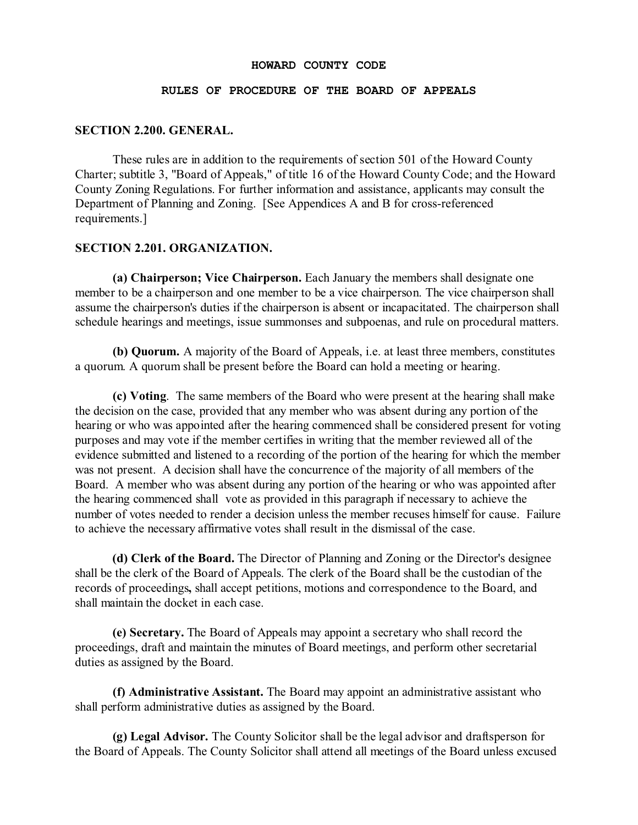#### **HOWARD COUNTY CODE**

#### **RULES OF PROCEDURE OF THE BOARD OF APPEALS**

#### **SECTION 2.200. GENERAL.**

These rules are in addition to the requirements of section 501 of the Howard County Charter; subtitle 3, "Board of Appeals," of title 16 of the Howard County Code; and the Howard County Zoning Regulations. For further information and assistance, applicants may consult the Department of Planning and Zoning. [See Appendices A and B for cross-referenced requirements.]

#### **SECTION 2.201. ORGANIZATION.**

**(a) Chairperson; Vice Chairperson.** Each January the members shall designate one member to be a chairperson and one member to be a vice chairperson. The vice chairperson shall assume the chairperson's duties if the chairperson is absent or incapacitated. The chairperson shall schedule hearings and meetings, issue summonses and subpoenas, and rule on procedural matters.

**(b) Quorum.** A majority of the Board of Appeals, i.e. at least three members, constitutes a quorum. A quorum shall be present before the Board can hold a meeting or hearing.

**(c) Voting**. The same members of the Board who were present at the hearing shall make the decision on the case, provided that any member who was absent during any portion of the hearing or who was appointed after the hearing commenced shall be considered present for voting purposes and may vote if the member certifies in writing that the member reviewed all of the evidence submitted and listened to a recording of the portion of the hearing for which the member was not present. A decision shall have the concurrence of the majority of all members of the Board. A member who was absent during any portion of the hearing or who was appointed after the hearing commenced shall vote as provided in this paragraph if necessary to achieve the number of votes needed to render a decision unless the member recuses himself for cause. Failure to achieve the necessary affirmative votes shall result in the dismissal of the case.

**(d) Clerk of the Board.** The Director of Planning and Zoning or the Director's designee shall be the clerk of the Board of Appeals. The clerk of the Board shall be the custodian of the records of proceedings**,** shall accept petitions, motions and correspondence to the Board, and shall maintain the docket in each case.

**(e) Secretary.** The Board of Appeals may appoint a secretary who shall record the proceedings, draft and maintain the minutes of Board meetings, and perform other secretarial duties as assigned by the Board.

**(f) Administrative Assistant.** The Board may appoint an administrative assistant who shall perform administrative duties as assigned by the Board.

**(g) Legal Advisor.** The County Solicitor shall be the legal advisor and draftsperson for the Board of Appeals. The County Solicitor shall attend all meetings of the Board unless excused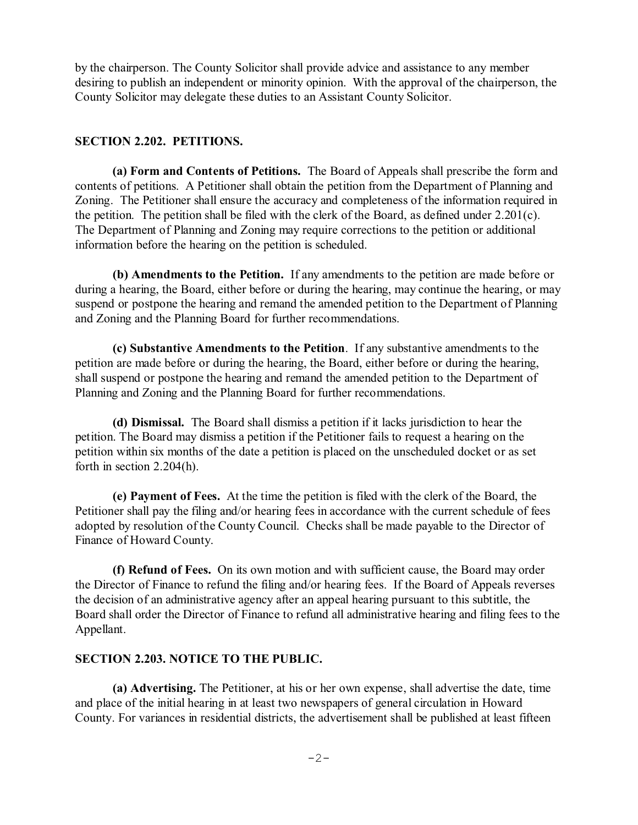by the chairperson. The County Solicitor shall provide advice and assistance to any member desiring to publish an independent or minority opinion. With the approval of the chairperson, the County Solicitor may delegate these duties to an Assistant County Solicitor.

### **SECTION 2.202. PETITIONS.**

**(a) Form and Contents of Petitions.** The Board of Appeals shall prescribe the form and contents of petitions. A Petitioner shall obtain the petition from the Department of Planning and Zoning. The Petitioner shall ensure the accuracy and completeness of the information required in the petition. The petition shall be filed with the clerk of the Board, as defined under 2.201(c). The Department of Planning and Zoning may require corrections to the petition or additional information before the hearing on the petition is scheduled.

**(b) Amendments to the Petition.** If any amendments to the petition are made before or during a hearing, the Board, either before or during the hearing, may continue the hearing, or may suspend or postpone the hearing and remand the amended petition to the Department of Planning and Zoning and the Planning Board for further recommendations.

**(c) Substantive Amendments to the Petition**. If any substantive amendments to the petition are made before or during the hearing, the Board, either before or during the hearing, shall suspend or postpone the hearing and remand the amended petition to the Department of Planning and Zoning and the Planning Board for further recommendations.

**(d) Dismissal.** The Board shall dismiss a petition if it lacks jurisdiction to hear the petition. The Board may dismiss a petition if the Petitioner fails to request a hearing on the petition within six months of the date a petition is placed on the unscheduled docket or as set forth in section 2.204(h).

**(e) Payment of Fees.** At the time the petition is filed with the clerk of the Board, the Petitioner shall pay the filing and/or hearing fees in accordance with the current schedule of fees adopted by resolution of the County Council. Checks shall be made payable to the Director of Finance of Howard County.

**(f) Refund of Fees.** On its own motion and with sufficient cause, the Board may order the Director of Finance to refund the filing and/or hearing fees. If the Board of Appeals reverses the decision of an administrative agency after an appeal hearing pursuant to this subtitle, the Board shall order the Director of Finance to refund all administrative hearing and filing fees to the Appellant.

### **SECTION 2.203. NOTICE TO THE PUBLIC.**

**(a) Advertising.** The Petitioner, at his or her own expense, shall advertise the date, time and place of the initial hearing in at least two newspapers of general circulation in Howard County. For variances in residential districts, the advertisement shall be published at least fifteen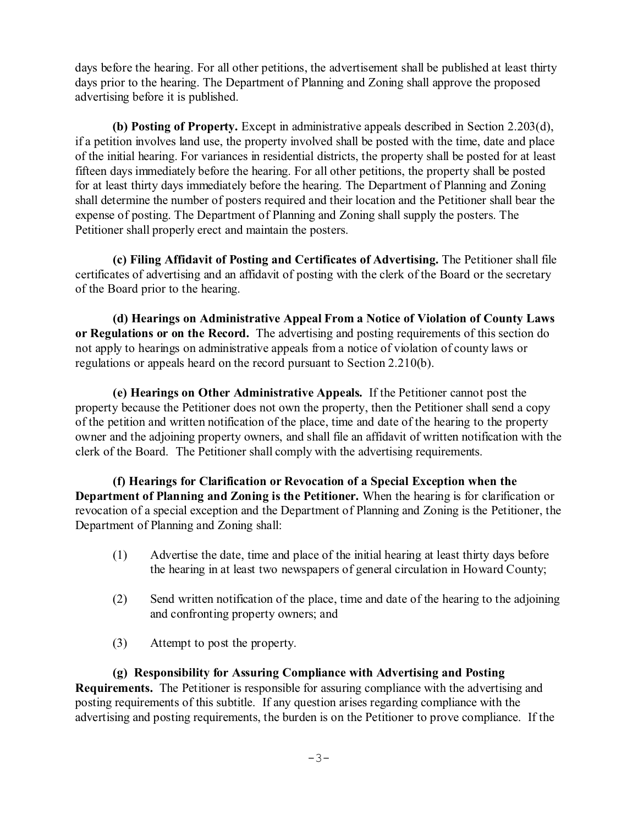days before the hearing. For all other petitions, the advertisement shall be published at least thirty days prior to the hearing. The Department of Planning and Zoning shall approve the proposed advertising before it is published.

**(b) Posting of Property.** Except in administrative appeals described in Section 2.203(d), if a petition involves land use, the property involved shall be posted with the time, date and place of the initial hearing. For variances in residential districts, the property shall be posted for at least fifteen days immediately before the hearing. For all other petitions, the property shall be posted for at least thirty days immediately before the hearing. The Department of Planning and Zoning shall determine the number of posters required and their location and the Petitioner shall bear the expense of posting. The Department of Planning and Zoning shall supply the posters. The Petitioner shall properly erect and maintain the posters.

**(c) Filing Affidavit of Posting and Certificates of Advertising.** The Petitioner shall file certificates of advertising and an affidavit of posting with the clerk of the Board or the secretary of the Board prior to the hearing.

**(d) Hearings on Administrative Appeal From a Notice of Violation of County Laws or Regulations or on the Record.** The advertising and posting requirements of this section do not apply to hearings on administrative appeals from a notice of violation of county laws or regulations or appeals heard on the record pursuant to Section 2.210(b).

**(e) Hearings on Other Administrative Appeals.** If the Petitioner cannot post the property because the Petitioner does not own the property, then the Petitioner shall send a copy of the petition and written notification of the place, time and date of the hearing to the property owner and the adjoining property owners, and shall file an affidavit of written notification with the clerk of the Board. The Petitioner shall comply with the advertising requirements.

**(f) Hearings for Clarification or Revocation of a Special Exception when the Department of Planning and Zoning is the Petitioner.** When the hearing is for clarification or revocation of a special exception and the Department of Planning and Zoning is the Petitioner, the Department of Planning and Zoning shall:

- (1) Advertise the date, time and place of the initial hearing at least thirty days before the hearing in at least two newspapers of general circulation in Howard County;
- (2) Send written notification of the place, time and date of the hearing to the adjoining and confronting property owners; and
- (3) Attempt to post the property.

**(g) Responsibility for Assuring Compliance with Advertising and Posting Requirements.** The Petitioner is responsible for assuring compliance with the advertising and posting requirements of this subtitle. If any question arises regarding compliance with the advertising and posting requirements, the burden is on the Petitioner to prove compliance. If the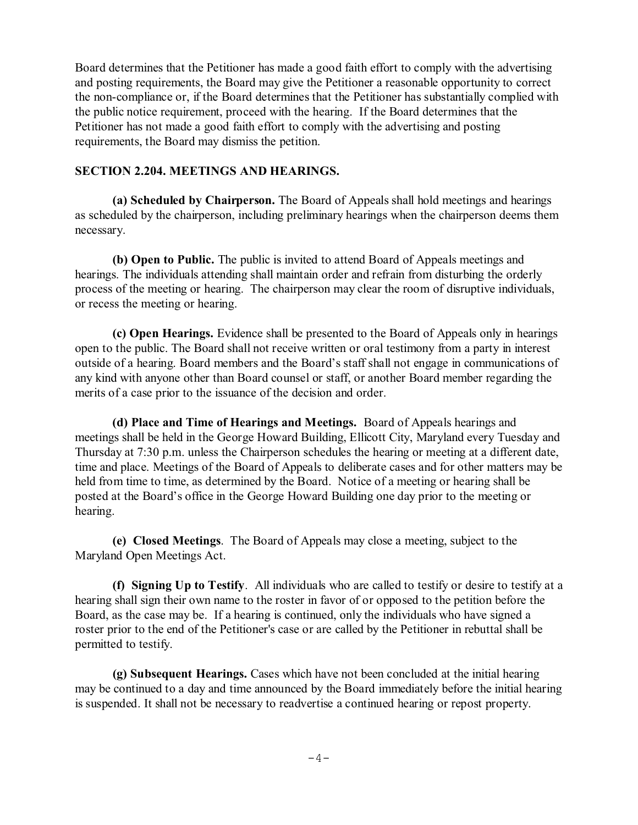Board determines that the Petitioner has made a good faith effort to comply with the advertising and posting requirements, the Board may give the Petitioner a reasonable opportunity to correct the non-compliance or, if the Board determines that the Petitioner has substantially complied with the public notice requirement, proceed with the hearing. If the Board determines that the Petitioner has not made a good faith effort to comply with the advertising and posting requirements, the Board may dismiss the petition.

#### **SECTION 2.204. MEETINGS AND HEARINGS.**

**(a) Scheduled by Chairperson.** The Board of Appeals shall hold meetings and hearings as scheduled by the chairperson, including preliminary hearings when the chairperson deems them necessary.

**(b) Open to Public.** The public is invited to attend Board of Appeals meetings and hearings. The individuals attending shall maintain order and refrain from disturbing the orderly process of the meeting or hearing. The chairperson may clear the room of disruptive individuals, or recess the meeting or hearing.

**(c) Open Hearings.** Evidence shall be presented to the Board of Appeals only in hearings open to the public. The Board shall not receive written or oral testimony from a party in interest outside of a hearing. Board members and the Board's staff shall not engage in communications of any kind with anyone other than Board counsel or staff, or another Board member regarding the merits of a case prior to the issuance of the decision and order.

**(d) Place and Time of Hearings and Meetings.** Board of Appeals hearings and meetings shall be held in the George Howard Building, Ellicott City, Maryland every Tuesday and Thursday at 7:30 p.m. unless the Chairperson schedules the hearing or meeting at a different date, time and place. Meetings of the Board of Appeals to deliberate cases and for other matters may be held from time to time, as determined by the Board. Notice of a meeting or hearing shall be posted at the Board's office in the George Howard Building one day prior to the meeting or hearing.

**(e) Closed Meetings**. The Board of Appeals may close a meeting, subject to the Maryland Open Meetings Act.

**(f) Signing Up to Testify**. All individuals who are called to testify or desire to testify at a hearing shall sign their own name to the roster in favor of or opposed to the petition before the Board, as the case may be. If a hearing is continued, only the individuals who have signed a roster prior to the end of the Petitioner's case or are called by the Petitioner in rebuttal shall be permitted to testify.

**(g) Subsequent Hearings.** Cases which have not been concluded at the initial hearing may be continued to a day and time announced by the Board immediately before the initial hearing is suspended. It shall not be necessary to readvertise a continued hearing or repost property.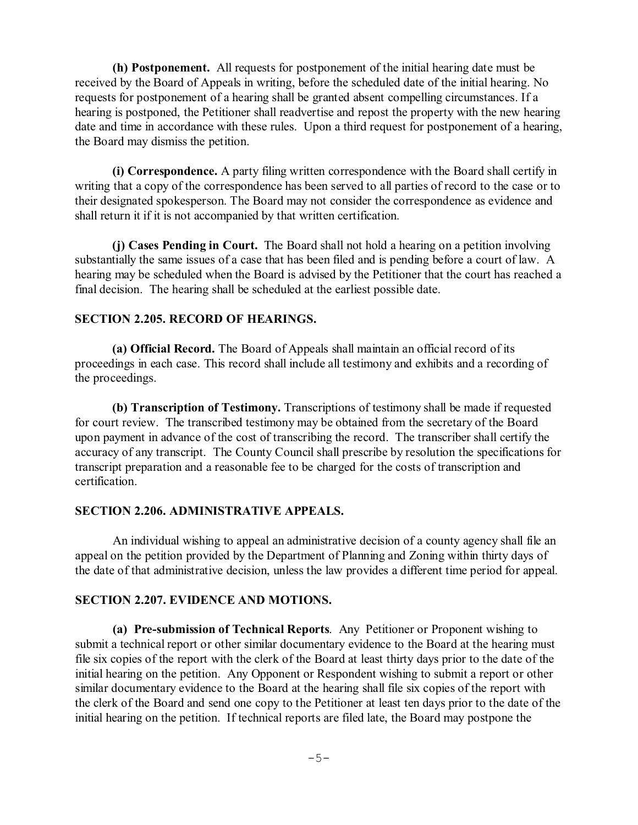**(h) Postponement.** All requests for postponement of the initial hearing date must be received by the Board of Appeals in writing, before the scheduled date of the initial hearing. No requests for postponement of a hearing shall be granted absent compelling circumstances. If a hearing is postponed, the Petitioner shall readvertise and repost the property with the new hearing date and time in accordance with these rules. Upon a third request for postponement of a hearing, the Board may dismiss the petition.

**(i) Correspondence.** A party filing written correspondence with the Board shall certify in writing that a copy of the correspondence has been served to all parties of record to the case or to their designated spokesperson. The Board may not consider the correspondence as evidence and shall return it if it is not accompanied by that written certification.

**(j) Cases Pending in Court.** The Board shall not hold a hearing on a petition involving substantially the same issues of a case that has been filed and is pending before a court of law. A hearing may be scheduled when the Board is advised by the Petitioner that the court has reached a final decision. The hearing shall be scheduled at the earliest possible date.

### **SECTION 2.205. RECORD OF HEARINGS.**

**(a) Official Record.** The Board of Appeals shall maintain an official record of its proceedings in each case. This record shall include all testimony and exhibits and a recording of the proceedings.

**(b) Transcription of Testimony.** Transcriptions of testimony shall be made if requested for court review. The transcribed testimony may be obtained from the secretary of the Board upon payment in advance of the cost of transcribing the record. The transcriber shall certify the accuracy of any transcript. The County Council shall prescribe by resolution the specifications for transcript preparation and a reasonable fee to be charged for the costs of transcription and certification.

#### **SECTION 2.206. ADMINISTRATIVE APPEALS.**

An individual wishing to appeal an administrative decision of a county agency shall file an appeal on the petition provided by the Department of Planning and Zoning within thirty days of the date of that administrative decision, unless the law provides a different time period for appeal.

#### **SECTION 2.207. EVIDENCE AND MOTIONS.**

**(a) Pre-submission of Technical Reports**. Any Petitioner or Proponent wishing to submit a technical report or other similar documentary evidence to the Board at the hearing must file six copies of the report with the clerk of the Board at least thirty days prior to the date of the initial hearing on the petition. Any Opponent or Respondent wishing to submit a report or other similar documentary evidence to the Board at the hearing shall file six copies of the report with the clerk of the Board and send one copy to the Petitioner at least ten days prior to the date of the initial hearing on the petition. If technical reports are filed late, the Board may postpone the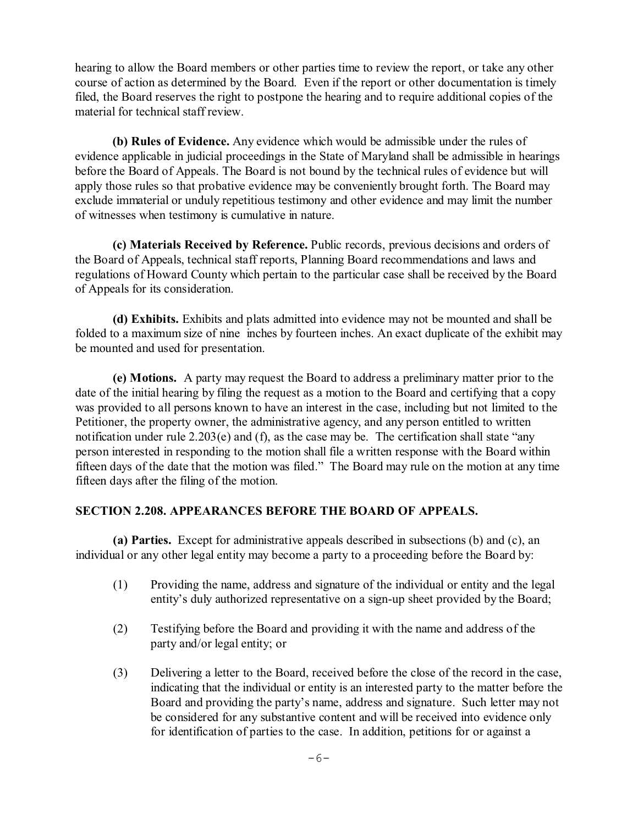hearing to allow the Board members or other parties time to review the report, or take any other course of action as determined by the Board. Even if the report or other documentation is timely filed, the Board reserves the right to postpone the hearing and to require additional copies of the material for technical staff review.

**(b) Rules of Evidence.** Any evidence which would be admissible under the rules of evidence applicable in judicial proceedings in the State of Maryland shall be admissible in hearings before the Board of Appeals. The Board is not bound by the technical rules of evidence but will apply those rules so that probative evidence may be conveniently brought forth. The Board may exclude immaterial or unduly repetitious testimony and other evidence and may limit the number of witnesses when testimony is cumulative in nature.

**(c) Materials Received by Reference.** Public records, previous decisions and orders of the Board of Appeals, technical staff reports, Planning Board recommendations and laws and regulations of Howard County which pertain to the particular case shall be received by the Board of Appeals for its consideration.

**(d) Exhibits.** Exhibits and plats admitted into evidence may not be mounted and shall be folded to a maximum size of nine inches by fourteen inches. An exact duplicate of the exhibit may be mounted and used for presentation.

**(e) Motions.** A party may request the Board to address a preliminary matter prior to the date of the initial hearing by filing the request as a motion to the Board and certifying that a copy was provided to all persons known to have an interest in the case, including but not limited to the Petitioner, the property owner, the administrative agency, and any person entitled to written notification under rule 2.203(e) and (f), as the case may be. The certification shall state "any person interested in responding to the motion shall file a written response with the Board within fifteen days of the date that the motion was filed." The Board may rule on the motion at any time fifteen days after the filing of the motion.

# **SECTION 2.208. APPEARANCES BEFORE THE BOARD OF APPEALS.**

**(a) Parties.** Except for administrative appeals described in subsections (b) and (c), an individual or any other legal entity may become a party to a proceeding before the Board by:

- (1) Providing the name, address and signature of the individual or entity and the legal entity's duly authorized representative on a sign-up sheet provided by the Board;
- (2) Testifying before the Board and providing it with the name and address of the party and/or legal entity; or
- (3) Delivering a letter to the Board, received before the close of the record in the case, indicating that the individual or entity is an interested party to the matter before the Board and providing the party's name, address and signature. Such letter may not be considered for any substantive content and will be received into evidence only for identification of parties to the case. In addition, petitions for or against a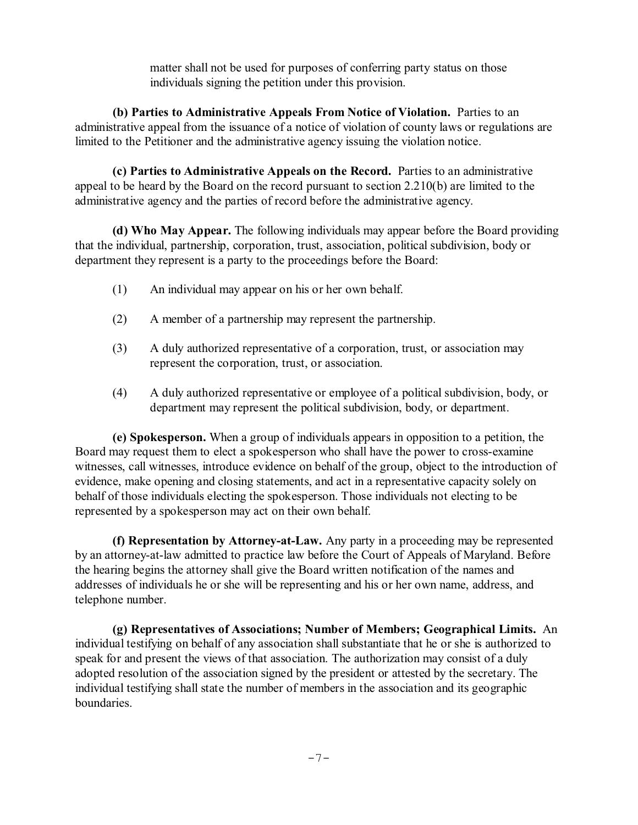matter shall not be used for purposes of conferring party status on those individuals signing the petition under this provision.

**(b) Parties to Administrative Appeals From Notice of Violation.** Parties to an administrative appeal from the issuance of a notice of violation of county laws or regulations are limited to the Petitioner and the administrative agency issuing the violation notice.

**(c) Parties to Administrative Appeals on the Record.** Parties to an administrative appeal to be heard by the Board on the record pursuant to section 2.210(b) are limited to the administrative agency and the parties of record before the administrative agency.

**(d) Who May Appear.** The following individuals may appear before the Board providing that the individual, partnership, corporation, trust, association, political subdivision, body or department they represent is a party to the proceedings before the Board:

- (1) An individual may appear on his or her own behalf.
- (2) A member of a partnership may represent the partnership.
- (3) A duly authorized representative of a corporation, trust, or association may represent the corporation, trust, or association.
- (4) A duly authorized representative or employee of a political subdivision, body, or department may represent the political subdivision, body, or department.

**(e) Spokesperson.** When a group of individuals appears in opposition to a petition, the Board may request them to elect a spokesperson who shall have the power to cross-examine witnesses, call witnesses, introduce evidence on behalf of the group, object to the introduction of evidence, make opening and closing statements, and act in a representative capacity solely on behalf of those individuals electing the spokesperson. Those individuals not electing to be represented by a spokesperson may act on their own behalf.

**(f) Representation by Attorney-at-Law.** Any party in a proceeding may be represented by an attorney-at-law admitted to practice law before the Court of Appeals of Maryland. Before the hearing begins the attorney shall give the Board written notification of the names and addresses of individuals he or she will be representing and his or her own name, address, and telephone number.

**(g) Representatives of Associations; Number of Members; Geographical Limits.** An individual testifying on behalf of any association shall substantiate that he or she is authorized to speak for and present the views of that association. The authorization may consist of a duly adopted resolution of the association signed by the president or attested by the secretary. The individual testifying shall state the number of members in the association and its geographic boundaries.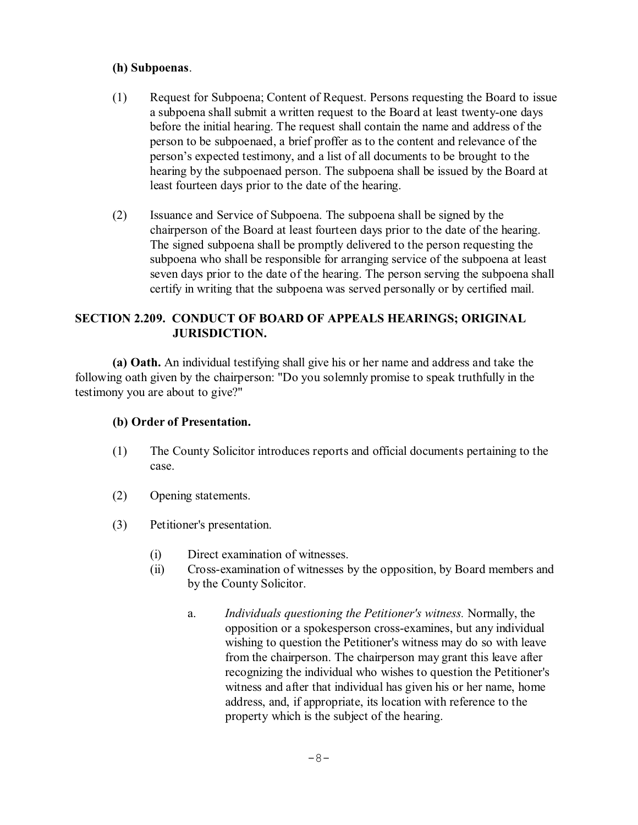# **(h) Subpoenas**.

- (1) Request for Subpoena; Content of Request. Persons requesting the Board to issue a subpoena shall submit a written request to the Board at least twenty-one days before the initial hearing. The request shall contain the name and address of the person to be subpoenaed, a brief proffer as to the content and relevance of the person's expected testimony, and a list of all documents to be brought to the hearing by the subpoenaed person. The subpoena shall be issued by the Board at least fourteen days prior to the date of the hearing.
- (2) Issuance and Service of Subpoena. The subpoena shall be signed by the chairperson of the Board at least fourteen days prior to the date of the hearing. The signed subpoena shall be promptly delivered to the person requesting the subpoena who shall be responsible for arranging service of the subpoena at least seven days prior to the date of the hearing. The person serving the subpoena shall certify in writing that the subpoena was served personally or by certified mail.

# **SECTION 2.209. CONDUCT OF BOARD OF APPEALS HEARINGS; ORIGINAL JURISDICTION.**

**(a) Oath.** An individual testifying shall give his or her name and address and take the following oath given by the chairperson: "Do you solemnly promise to speak truthfully in the testimony you are about to give?"

# **(b) Order of Presentation.**

- (1) The County Solicitor introduces reports and official documents pertaining to the case.
- (2) Opening statements.
- (3) Petitioner's presentation.
	- (i) Direct examination of witnesses.
	- (ii) Cross-examination of witnesses by the opposition, by Board members and by the County Solicitor.
		- a. *Individuals questioning the Petitioner's witness.* Normally, the opposition or a spokesperson cross-examines, but any individual wishing to question the Petitioner's witness may do so with leave from the chairperson. The chairperson may grant this leave after recognizing the individual who wishes to question the Petitioner's witness and after that individual has given his or her name, home address, and, if appropriate, its location with reference to the property which is the subject of the hearing.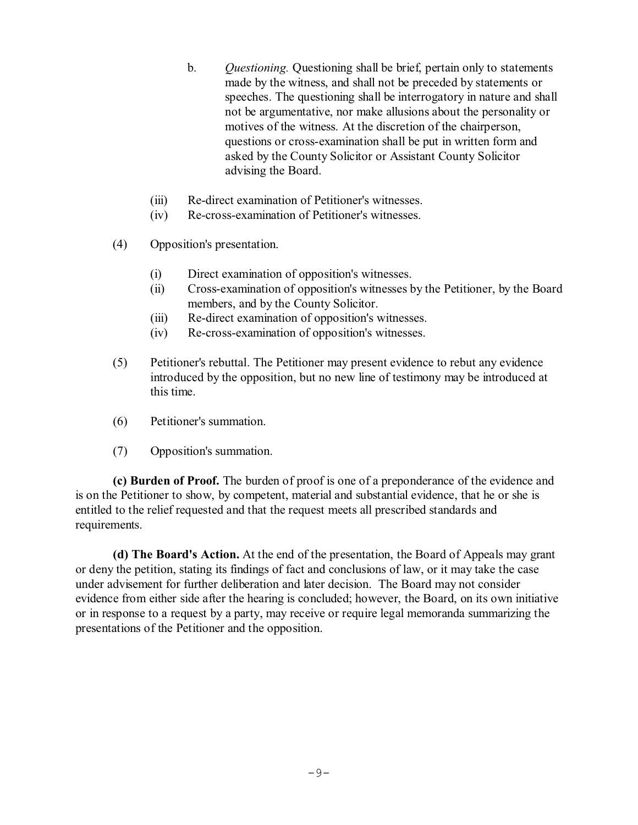- b. *Questioning.* Questioning shall be brief, pertain only to statements made by the witness, and shall not be preceded by statements or speeches. The questioning shall be interrogatory in nature and shall not be argumentative, nor make allusions about the personality or motives of the witness. At the discretion of the chairperson, questions or cross-examination shall be put in written form and asked by the County Solicitor or Assistant County Solicitor advising the Board.
- (iii) Re-direct examination of Petitioner's witnesses.
- (iv) Re-cross-examination of Petitioner's witnesses.
- (4) Opposition's presentation.
	- (i) Direct examination of opposition's witnesses.
	- (ii) Cross-examination of opposition's witnesses by the Petitioner, by the Board members, and by the County Solicitor.
	- (iii) Re-direct examination of opposition's witnesses.
	- (iv) Re-cross-examination of opposition's witnesses.
- (5) Petitioner's rebuttal. The Petitioner may present evidence to rebut any evidence introduced by the opposition, but no new line of testimony may be introduced at this time.
- (6) Petitioner's summation.
- (7) Opposition's summation.

**(c) Burden of Proof.** The burden of proof is one of a preponderance of the evidence and is on the Petitioner to show, by competent, material and substantial evidence, that he or she is entitled to the relief requested and that the request meets all prescribed standards and requirements.

**(d) The Board's Action.** At the end of the presentation, the Board of Appeals may grant or deny the petition, stating its findings of fact and conclusions of law, or it may take the case under advisement for further deliberation and later decision. The Board may not consider evidence from either side after the hearing is concluded; however, the Board, on its own initiative or in response to a request by a party, may receive or require legal memoranda summarizing the presentations of the Petitioner and the opposition.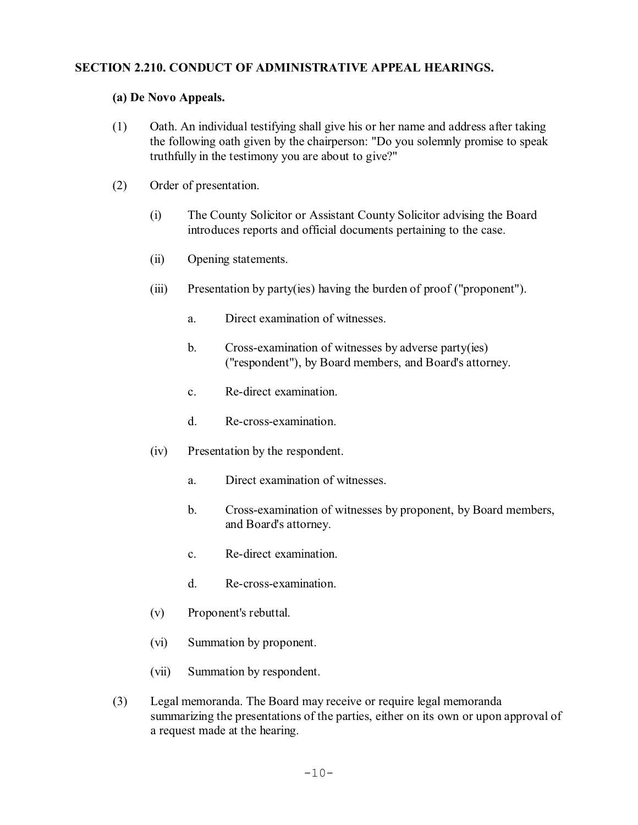# **SECTION 2.210. CONDUCT OF ADMINISTRATIVE APPEAL HEARINGS.**

# **(a) De Novo Appeals.**

- (1) Oath. An individual testifying shall give his or her name and address after taking the following oath given by the chairperson: "Do you solemnly promise to speak truthfully in the testimony you are about to give?"
- (2) Order of presentation.
	- (i) The County Solicitor or Assistant County Solicitor advising the Board introduces reports and official documents pertaining to the case.
	- (ii) Opening statements.
	- (iii) Presentation by party(ies) having the burden of proof ("proponent").
		- a. Direct examination of witnesses.
		- b. Cross-examination of witnesses by adverse party(ies) ("respondent"), by Board members, and Board's attorney.
		- c. Re-direct examination.
		- d. Re-cross-examination.
	- (iv) Presentation by the respondent.
		- a. Direct examination of witnesses.
		- b. Cross-examination of witnesses by proponent, by Board members, and Board's attorney.
		- c. Re-direct examination.
		- d. Re-cross-examination.
	- (v) Proponent's rebuttal.
	- (vi) Summation by proponent.
	- (vii) Summation by respondent.
- (3) Legal memoranda. The Board may receive or require legal memoranda summarizing the presentations of the parties, either on its own or upon approval of a request made at the hearing.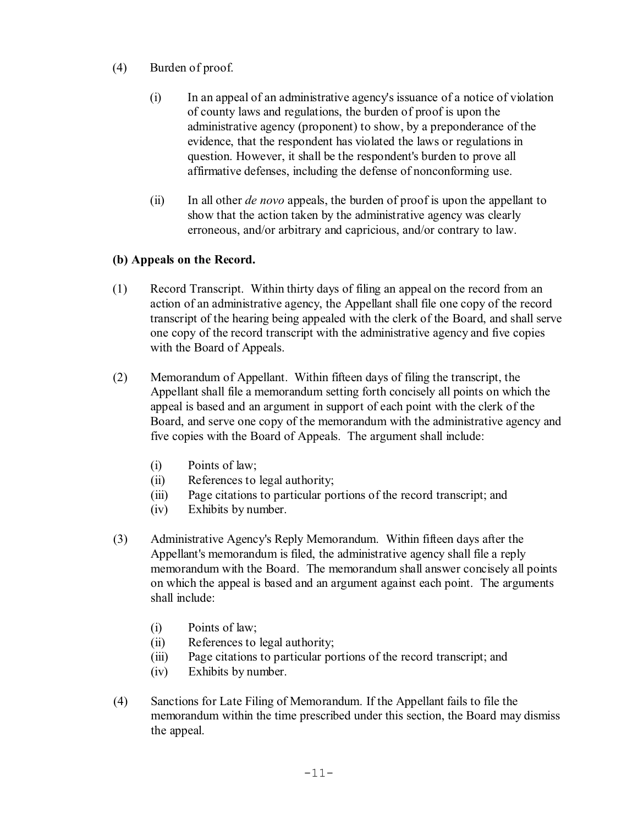- (4) Burden of proof.
	- (i) In an appeal of an administrative agency's issuance of a notice of violation of county laws and regulations, the burden of proof is upon the administrative agency (proponent) to show, by a preponderance of the evidence, that the respondent has violated the laws or regulations in question. However, it shall be the respondent's burden to prove all affirmative defenses, including the defense of nonconforming use.
	- (ii) In all other *de novo* appeals, the burden of proof is upon the appellant to show that the action taken by the administrative agency was clearly erroneous, and/or arbitrary and capricious, and/or contrary to law.

# **(b) Appeals on the Record.**

- (1) Record Transcript. Within thirty days of filing an appeal on the record from an action of an administrative agency, the Appellant shall file one copy of the record transcript of the hearing being appealed with the clerk of the Board, and shall serve one copy of the record transcript with the administrative agency and five copies with the Board of Appeals.
- (2) Memorandum of Appellant. Within fifteen days of filing the transcript, the Appellant shall file a memorandum setting forth concisely all points on which the appeal is based and an argument in support of each point with the clerk of the Board, and serve one copy of the memorandum with the administrative agency and five copies with the Board of Appeals. The argument shall include:
	- (i) Points of law;
	- (ii) References to legal authority;
	- (iii) Page citations to particular portions of the record transcript; and
	- (iv) Exhibits by number.
- (3) Administrative Agency's Reply Memorandum. Within fifteen days after the Appellant's memorandum is filed, the administrative agency shall file a reply memorandum with the Board. The memorandum shall answer concisely all points on which the appeal is based and an argument against each point. The arguments shall include:
	- (i) Points of law;
	- (ii) References to legal authority;
	- (iii) Page citations to particular portions of the record transcript; and
	- (iv) Exhibits by number.
- (4) Sanctions for Late Filing of Memorandum. If the Appellant fails to file the memorandum within the time prescribed under this section, the Board may dismiss the appeal.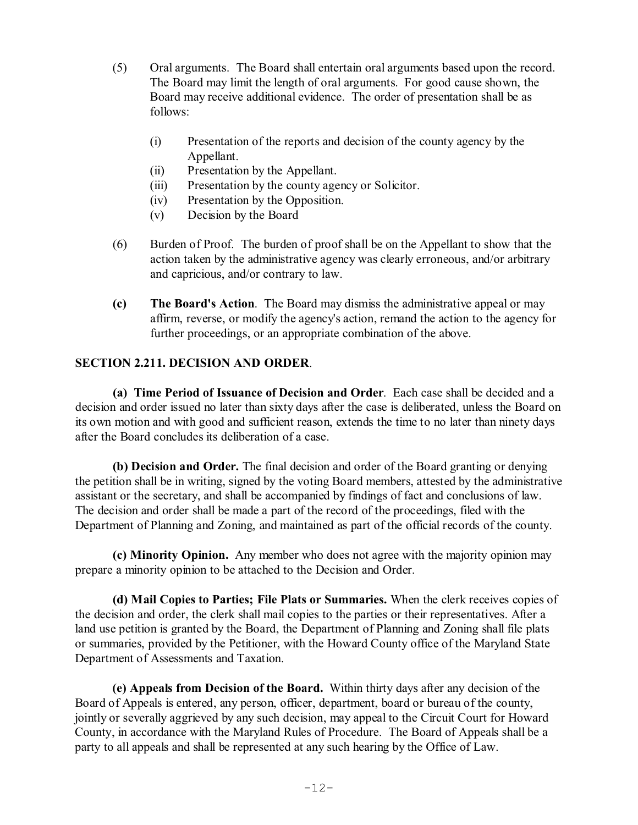- (5) Oral arguments. The Board shall entertain oral arguments based upon the record. The Board may limit the length of oral arguments. For good cause shown, the Board may receive additional evidence. The order of presentation shall be as follows:
	- (i) Presentation of the reports and decision of the county agency by the Appellant.
	- (ii) Presentation by the Appellant.
	- (iii) Presentation by the county agency or Solicitor.
	- (iv) Presentation by the Opposition.
	- (v) Decision by the Board
- (6) Burden of Proof. The burden of proof shall be on the Appellant to show that the action taken by the administrative agency was clearly erroneous, and/or arbitrary and capricious, and/or contrary to law.
- **(c) The Board's Action**. The Board may dismiss the administrative appeal or may affirm, reverse, or modify the agency's action, remand the action to the agency for further proceedings, or an appropriate combination of the above.

# **SECTION 2.211. DECISION AND ORDER**.

**(a) Time Period of Issuance of Decision and Order**. Each case shall be decided and a decision and order issued no later than sixty days after the case is deliberated, unless the Board on its own motion and with good and sufficient reason, extends the time to no later than ninety days after the Board concludes its deliberation of a case.

**(b) Decision and Order.** The final decision and order of the Board granting or denying the petition shall be in writing, signed by the voting Board members, attested by the administrative assistant or the secretary, and shall be accompanied by findings of fact and conclusions of law. The decision and order shall be made a part of the record of the proceedings, filed with the Department of Planning and Zoning, and maintained as part of the official records of the county.

**(c) Minority Opinion.** Any member who does not agree with the majority opinion may prepare a minority opinion to be attached to the Decision and Order.

**(d) Mail Copies to Parties; File Plats or Summaries.** When the clerk receives copies of the decision and order, the clerk shall mail copies to the parties or their representatives. After a land use petition is granted by the Board, the Department of Planning and Zoning shall file plats or summaries, provided by the Petitioner, with the Howard County office of the Maryland State Department of Assessments and Taxation.

**(e) Appeals from Decision of the Board.** Within thirty days after any decision of the Board of Appeals is entered, any person, officer, department, board or bureau of the county, jointly or severally aggrieved by any such decision, may appeal to the Circuit Court for Howard County, in accordance with the Maryland Rules of Procedure. The Board of Appeals shall be a party to all appeals and shall be represented at any such hearing by the Office of Law.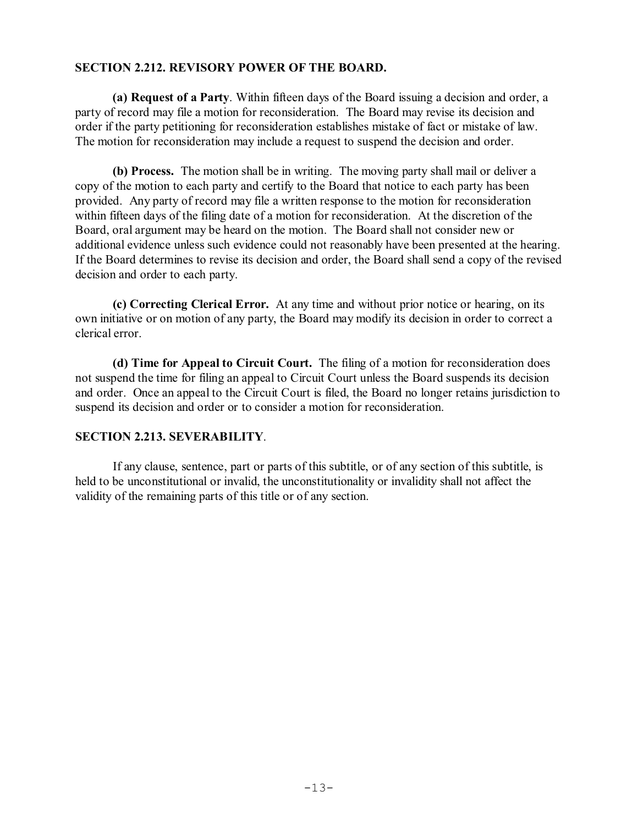# **SECTION 2.212. REVISORY POWER OF THE BOARD.**

**(a) Request of a Party**. Within fifteen days of the Board issuing a decision and order, a party of record may file a motion for reconsideration. The Board may revise its decision and order if the party petitioning for reconsideration establishes mistake of fact or mistake of law. The motion for reconsideration may include a request to suspend the decision and order.

**(b) Process.** The motion shall be in writing. The moving party shall mail or deliver a copy of the motion to each party and certify to the Board that notice to each party has been provided. Any party of record may file a written response to the motion for reconsideration within fifteen days of the filing date of a motion for reconsideration. At the discretion of the Board, oral argument may be heard on the motion. The Board shall not consider new or additional evidence unless such evidence could not reasonably have been presented at the hearing. If the Board determines to revise its decision and order, the Board shall send a copy of the revised decision and order to each party.

**(c) Correcting Clerical Error.** At any time and without prior notice or hearing, on its own initiative or on motion of any party, the Board may modify its decision in order to correct a clerical error.

**(d) Time for Appeal to Circuit Court.** The filing of a motion for reconsideration does not suspend the time for filing an appeal to Circuit Court unless the Board suspends its decision and order. Once an appeal to the Circuit Court is filed, the Board no longer retains jurisdiction to suspend its decision and order or to consider a motion for reconsideration.

# **SECTION 2.213. SEVERABILITY**.

If any clause, sentence, part or parts of this subtitle, or of any section of this subtitle, is held to be unconstitutional or invalid, the unconstitutionality or invalidity shall not affect the validity of the remaining parts of this title or of any section.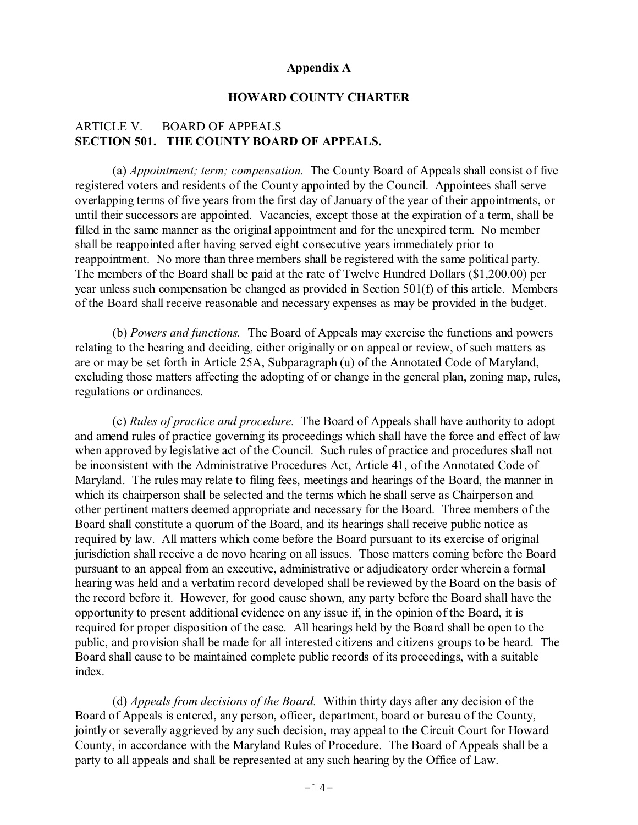### **Appendix A**

# **HOWARD COUNTY CHARTER**

# ARTICLE V. BOARD OF APPEALS **SECTION 501. THE COUNTY BOARD OF APPEALS.**

(a) *Appointment; term; compensation.* The County Board of Appeals shall consist of five registered voters and residents of the County appointed by the Council. Appointees shall serve overlapping terms of five years from the first day of January of the year of their appointments, or until their successors are appointed. Vacancies, except those at the expiration of a term, shall be filled in the same manner as the original appointment and for the unexpired term. No member shall be reappointed after having served eight consecutive years immediately prior to reappointment. No more than three members shall be registered with the same political party. The members of the Board shall be paid at the rate of Twelve Hundred Dollars (\$1,200.00) per year unless such compensation be changed as provided in Section 501(f) of this article. Members of the Board shall receive reasonable and necessary expenses as may be provided in the budget.

(b) *Powers and functions.* The Board of Appeals may exercise the functions and powers relating to the hearing and deciding, either originally or on appeal or review, of such matters as are or may be set forth in Article 25A, Subparagraph (u) of the Annotated Code of Maryland, excluding those matters affecting the adopting of or change in the general plan, zoning map, rules, regulations or ordinances.

(c) *Rules of practice and procedure.* The Board of Appeals shall have authority to adopt and amend rules of practice governing its proceedings which shall have the force and effect of law when approved by legislative act of the Council. Such rules of practice and procedures shall not be inconsistent with the Administrative Procedures Act, Article 41, of the Annotated Code of Maryland. The rules may relate to filing fees, meetings and hearings of the Board, the manner in which its chairperson shall be selected and the terms which he shall serve as Chairperson and other pertinent matters deemed appropriate and necessary for the Board. Three members of the Board shall constitute a quorum of the Board, and its hearings shall receive public notice as required by law. All matters which come before the Board pursuant to its exercise of original jurisdiction shall receive a de novo hearing on all issues. Those matters coming before the Board pursuant to an appeal from an executive, administrative or adjudicatory order wherein a formal hearing was held and a verbatim record developed shall be reviewed by the Board on the basis of the record before it. However, for good cause shown, any party before the Board shall have the opportunity to present additional evidence on any issue if, in the opinion of the Board, it is required for proper disposition of the case. All hearings held by the Board shall be open to the public, and provision shall be made for all interested citizens and citizens groups to be heard. The Board shall cause to be maintained complete public records of its proceedings, with a suitable index.

(d) *Appeals from decisions of the Board.* Within thirty days after any decision of the Board of Appeals is entered, any person, officer, department, board or bureau of the County, jointly or severally aggrieved by any such decision, may appeal to the Circuit Court for Howard County, in accordance with the Maryland Rules of Procedure. The Board of Appeals shall be a party to all appeals and shall be represented at any such hearing by the Office of Law.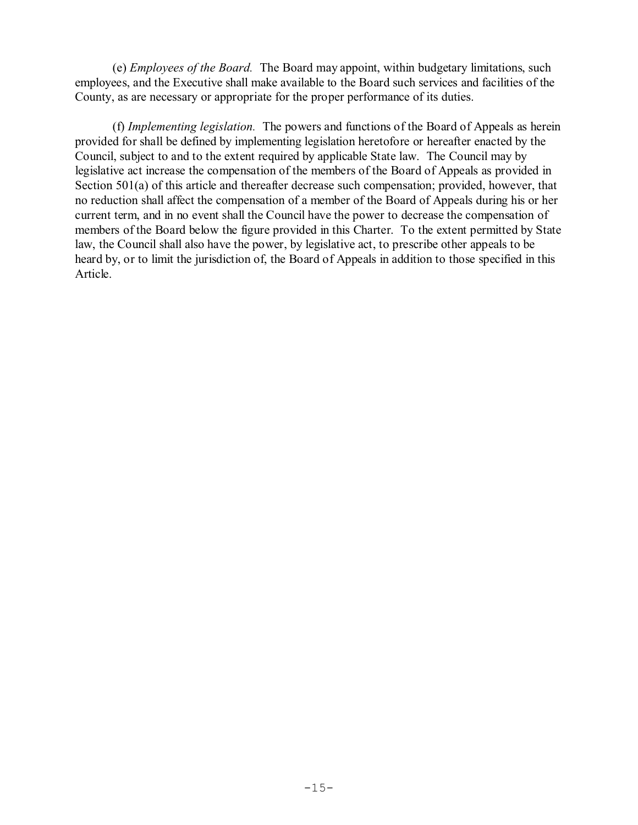(e) *Employees of the Board.* The Board may appoint, within budgetary limitations, such employees, and the Executive shall make available to the Board such services and facilities of the County, as are necessary or appropriate for the proper performance of its duties.

(f) *Implementing legislation.* The powers and functions of the Board of Appeals as herein provided for shall be defined by implementing legislation heretofore or hereafter enacted by the Council, subject to and to the extent required by applicable State law. The Council may by legislative act increase the compensation of the members of the Board of Appeals as provided in Section 501(a) of this article and thereafter decrease such compensation; provided, however, that no reduction shall affect the compensation of a member of the Board of Appeals during his or her current term, and in no event shall the Council have the power to decrease the compensation of members of the Board below the figure provided in this Charter. To the extent permitted by State law, the Council shall also have the power, by legislative act, to prescribe other appeals to be heard by, or to limit the jurisdiction of, the Board of Appeals in addition to those specified in this Article.